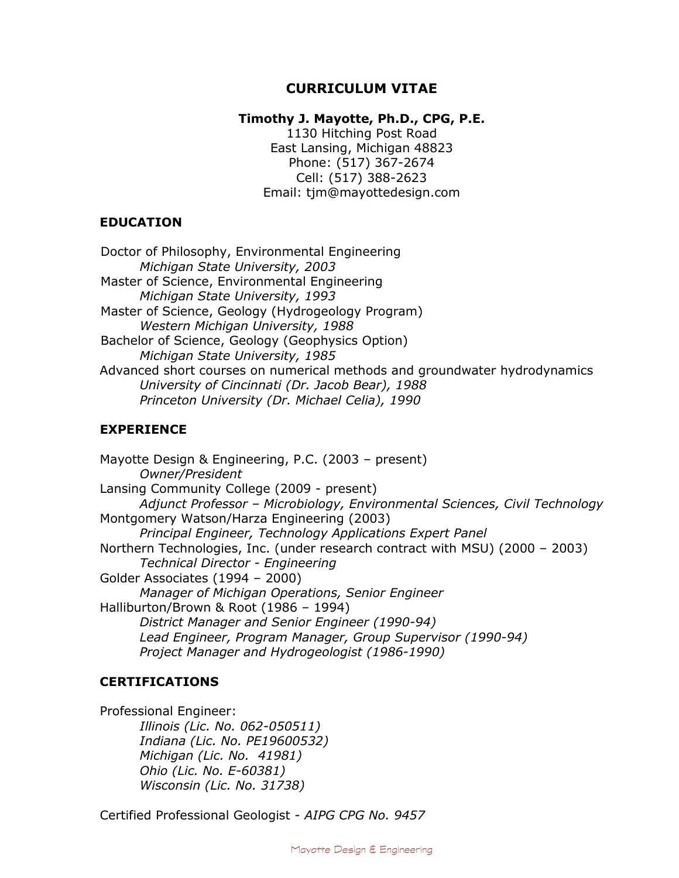# **CURRICULUM VITAE**

## **Timothy J. Mayotte, Ph.D., CPG, P.E.**

1130 Hitching Post Road East Lansing, Michigan 48823 Phone: (517) 367-2674 Cell: (517) 388-2623 Email: tjm@mayottedesign.com

### **EDUCATION**

Doctor of Philosophy, Environmental Engineering *Michigan State University, 2003* Master of Science, Environmental Engineering *Michigan State University, 1993* Master of Science, Geology (Hydrogeology Program) *Western Michigan University, 1988* Bachelor of Science, Geology (Geophysics Option) *Michigan State University, 1985* Advanced short courses on numerical methods and groundwater hydrodynamics *University of Cincinnati (Dr. Jacob Bear), 1988 Princeton University (Dr. Michael Celia), 1990*

# **EXPERIENCE**

Mayotte Design & Engineering, P.C. (2003 – present) *Owner/President* Lansing Community College (2009 - present) *Adjunct Professor – Microbiology, Environmental Sciences, Civil Technology* Montgomery Watson/Harza Engineering (2003) *Principal Engineer, Technology Applications Expert Panel* Northern Technologies, Inc. (under research contract with MSU) (2000 – 2003) *Technical Director - Engineering* Golder Associates (1994 – 2000) *Manager of Michigan Operations, Senior Engineer* Halliburton/Brown & Root (1986 – 1994) *District Manager and Senior Engineer (1990-94) Lead Engineer, Program Manager, Group Supervisor (1990-94) Project Manager and Hydrogeologist (1986-1990)*

# **CERTIFICATIONS**

Professional Engineer: *Illinois (Lic. No. 062-050511) Indiana (Lic. No. PE19600532) Michigan (Lic. No. 41981) Ohio (Lic. No. E-60381) Wisconsin (Lic. No. 31738)*

Certified Professional Geologist - *AIPG CPG No. 9457*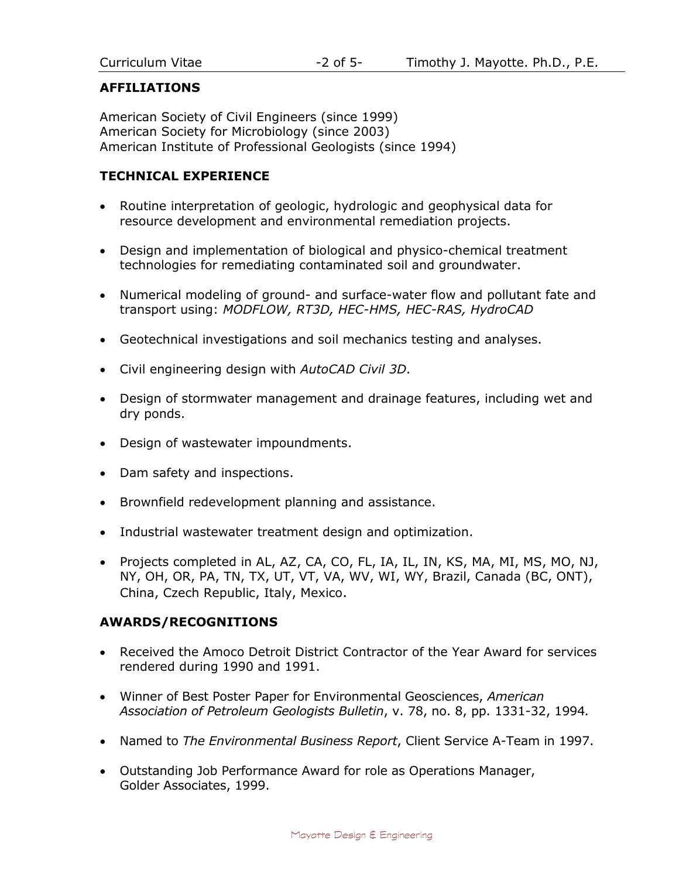# **AFFILIATIONS**

American Society of Civil Engineers (since 1999) American Society for Microbiology (since 2003) American Institute of Professional Geologists (since 1994)

# **TECHNICAL EXPERIENCE**

- Routine interpretation of geologic, hydrologic and geophysical data for resource development and environmental remediation projects.
- Design and implementation of biological and physico-chemical treatment technologies for remediating contaminated soil and groundwater.
- Numerical modeling of ground- and surface-water flow and pollutant fate and transport using: *MODFLOW, RT3D, HEC-HMS, HEC-RAS, HydroCAD*
- Geotechnical investigations and soil mechanics testing and analyses.
- Civil engineering design with *AutoCAD Civil 3D*.
- Design of stormwater management and drainage features, including wet and dry ponds.
- Design of wastewater impoundments.
- Dam safety and inspections.
- Brownfield redevelopment planning and assistance.
- Industrial wastewater treatment design and optimization.
- Projects completed in AL, AZ, CA, CO, FL, IA, IL, IN, KS, MA, MI, MS, MO, NJ, NY, OH, OR, PA, TN, TX, UT, VT, VA, WV, WI, WY, Brazil, Canada (BC, ONT), China, Czech Republic, Italy, Mexico.

#### **AWARDS/RECOGNITIONS**

- Received the Amoco Detroit District Contractor of the Year Award for services rendered during 1990 and 1991.
- Winner of Best Poster Paper for Environmental Geosciences, *American Association of Petroleum Geologists Bulletin*, v. 78, no. 8, pp. 1331-32, 1994*.*
- Named to *The Environmental Business Report*, Client Service A-Team in 1997.
- Outstanding Job Performance Award for role as Operations Manager, Golder Associates, 1999.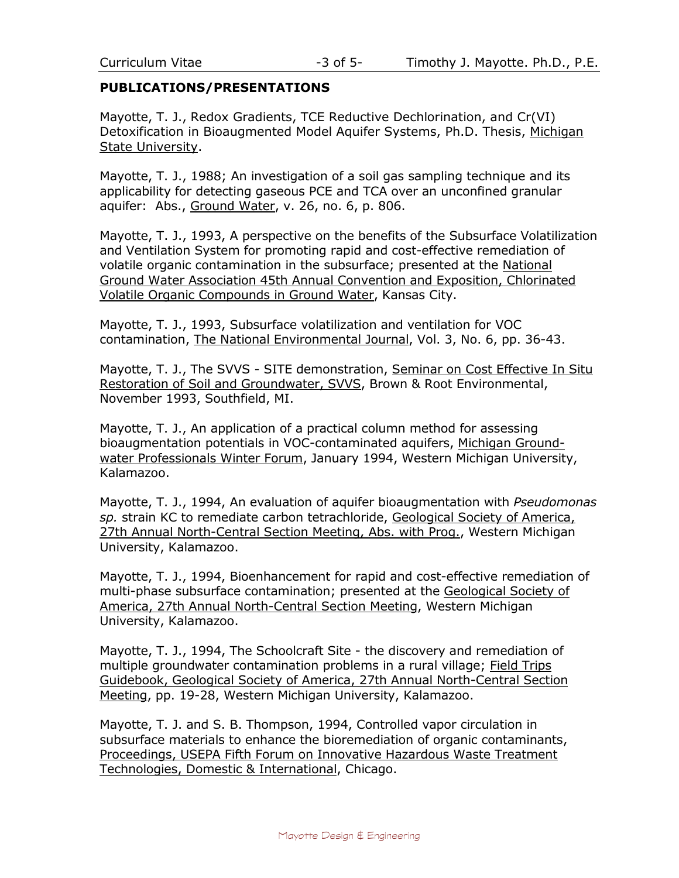#### **PUBLICATIONS/PRESENTATIONS**

Mayotte, T. J., Redox Gradients, TCE Reductive Dechlorination, and Cr(VI) Detoxification in Bioaugmented Model Aquifer Systems, Ph.D. Thesis, Michigan State University.

Mayotte, T. J., 1988; An investigation of a soil gas sampling technique and its applicability for detecting gaseous PCE and TCA over an unconfined granular aquifer: Abs., Ground Water, v. 26, no. 6, p. 806.

Mayotte, T. J., 1993, A perspective on the benefits of the Subsurface Volatilization and Ventilation System for promoting rapid and cost-effective remediation of volatile organic contamination in the subsurface; presented at the National Ground Water Association 45th Annual Convention and Exposition, Chlorinated Volatile Organic Compounds in Ground Water, Kansas City.

Mayotte, T. J., 1993, Subsurface volatilization and ventilation for VOC contamination, The National Environmental Journal, Vol. 3, No. 6, pp. 36-43.

Mayotte, T. J., The SVVS - SITE demonstration, Seminar on Cost Effective In Situ Restoration of Soil and Groundwater, SVVS, Brown & Root Environmental, November 1993, Southfield, MI.

Mayotte, T. J., An application of a practical column method for assessing bioaugmentation potentials in VOC-contaminated aquifers, Michigan Groundwater Professionals Winter Forum, January 1994, Western Michigan University, Kalamazoo.

Mayotte, T. J., 1994, An evaluation of aquifer bioaugmentation with *Pseudomonas sp.* strain KC to remediate carbon tetrachloride, Geological Society of America, 27th Annual North-Central Section Meeting, Abs. with Prog., Western Michigan University, Kalamazoo.

Mayotte, T. J., 1994, Bioenhancement for rapid and cost-effective remediation of multi-phase subsurface contamination; presented at the Geological Society of America, 27th Annual North-Central Section Meeting, Western Michigan University, Kalamazoo.

Mayotte, T. J., 1994, The Schoolcraft Site - the discovery and remediation of multiple groundwater contamination problems in a rural village; Field Trips Guidebook, Geological Society of America, 27th Annual North-Central Section Meeting, pp. 19-28, Western Michigan University, Kalamazoo.

Mayotte, T. J. and S. B. Thompson, 1994, Controlled vapor circulation in subsurface materials to enhance the bioremediation of organic contaminants, Proceedings, USEPA Fifth Forum on Innovative Hazardous Waste Treatment Technologies, Domestic & International, Chicago.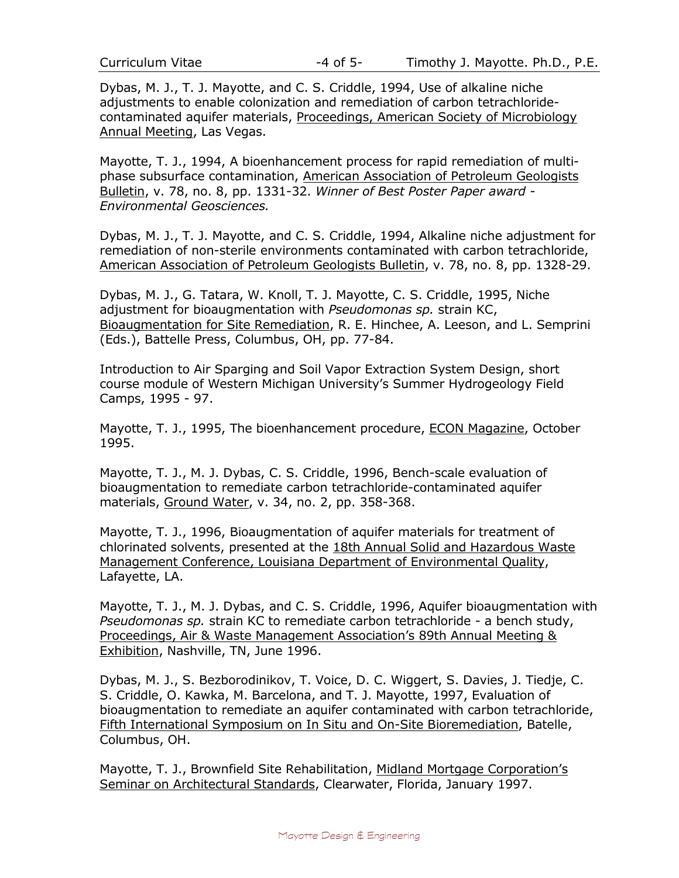Dybas, M. J., T. J. Mayotte, and C. S. Criddle, 1994, Use of alkaline niche adjustments to enable colonization and remediation of carbon tetrachloridecontaminated aquifer materials, Proceedings, American Society of Microbiology Annual Meeting, Las Vegas.

Mayotte, T. J., 1994, A bioenhancement process for rapid remediation of multiphase subsurface contamination, American Association of Petroleum Geologists Bulletin, v. 78, no. 8, pp. 1331-32. *Winner of Best Poster Paper award - Environmental Geosciences.*

Dybas, M. J., T. J. Mayotte, and C. S. Criddle, 1994, Alkaline niche adjustment for remediation of non-sterile environments contaminated with carbon tetrachloride, American Association of Petroleum Geologists Bulletin, v. 78, no. 8, pp. 1328-29.

Dybas, M. J., G. Tatara, W. Knoll, T. J. Mayotte, C. S. Criddle, 1995, Niche adjustment for bioaugmentation with *Pseudomonas sp.* strain KC, Bioaugmentation for Site Remediation, R. E. Hinchee, A. Leeson, and L. Semprini (Eds.), Battelle Press, Columbus, OH, pp. 77-84.

Introduction to Air Sparging and Soil Vapor Extraction System Design, short course module of Western Michigan University's Summer Hydrogeology Field Camps, 1995 - 97.

Mayotte, T. J., 1995, The bioenhancement procedure, ECON Magazine, October 1995.

Mayotte, T. J., M. J. Dybas, C. S. Criddle, 1996, Bench-scale evaluation of bioaugmentation to remediate carbon tetrachloride-contaminated aquifer materials, Ground Water, v. 34, no. 2, pp. 358-368.

Mayotte, T. J., 1996, Bioaugmentation of aquifer materials for treatment of chlorinated solvents, presented at the 18th Annual Solid and Hazardous Waste Management Conference, Louisiana Department of Environmental Quality, Lafayette, LA.

Mayotte, T. J., M. J. Dybas, and C. S. Criddle, 1996, Aquifer bioaugmentation with *Pseudomonas sp.* strain KC to remediate carbon tetrachloride - a bench study, Proceedings, Air & Waste Management Association's 89th Annual Meeting & Exhibition, Nashville, TN, June 1996.

Dybas, M. J., S. Bezborodinikov, T. Voice, D. C. Wiggert, S. Davies, J. Tiedje, C. S. Criddle, O. Kawka, M. Barcelona, and T. J. Mayotte, 1997, Evaluation of bioaugmentation to remediate an aquifer contaminated with carbon tetrachloride, Fifth International Symposium on In Situ and On-Site Bioremediation, Batelle, Columbus, OH.

Mayotte, T. J., Brownfield Site Rehabilitation, Midland Mortgage Corporation's Seminar on Architectural Standards, Clearwater, Florida, January 1997.